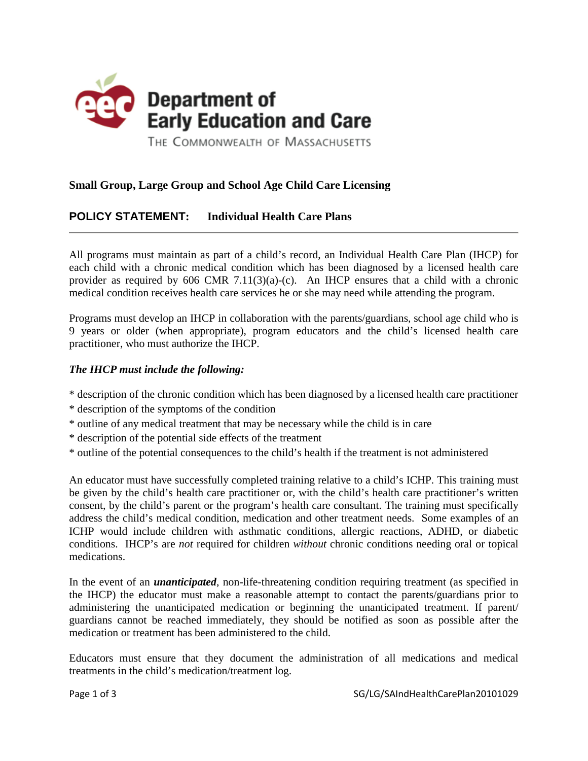

## **Small Group, Large Group and School Age Child Care Licensing**

## **POLICY STATEMENT: Individual Health Care Plans**

All programs must maintain as part of a child's record, an Individual Health Care Plan (IHCP) for each child with a chronic medical condition which has been diagnosed by a licensed health care provider as required by 606 CMR 7.11(3)(a)-(c). An IHCP ensures that a child with a chronic medical condition receives health care services he or she may need while attending the program.

Programs must develop an IHCP in collaboration with the parents/guardians, school age child who is 9 years or older (when appropriate), program educators and the child's licensed health care practitioner, who must authorize the IHCP.

## *The IHCP must include the following:*

- \* description of the chronic condition which has been diagnosed by a licensed health care practitioner
- \* description of the symptoms of the condition
- \* outline of any medical treatment that may be necessary while the child is in care
- \* description of the potential side effects of the treatment
- \* outline of the potential consequences to the child's health if the treatment is not administered

An educator must have successfully completed training relative to a child's ICHP. This training must be given by the child's health care practitioner or, with the child's health care practitioner's written consent, by the child's parent or the program's health care consultant. The training must specifically address the child's medical condition, medication and other treatment needs. Some examples of an ICHP would include children with asthmatic conditions, allergic reactions, ADHD, or diabetic conditions. IHCP's are *not* required for children *without* chronic conditions needing oral or topical medications.

In the event of an *unanticipated*, non-life-threatening condition requiring treatment (as specified in the IHCP) the educator must make a reasonable attempt to contact the parents/guardians prior to administering the unanticipated medication or beginning the unanticipated treatment. If parent/ guardians cannot be reached immediately, they should be notified as soon as possible after the medication or treatment has been administered to the child.

Educators must ensure that they document the administration of all medications and medical treatments in the child's medication/treatment log.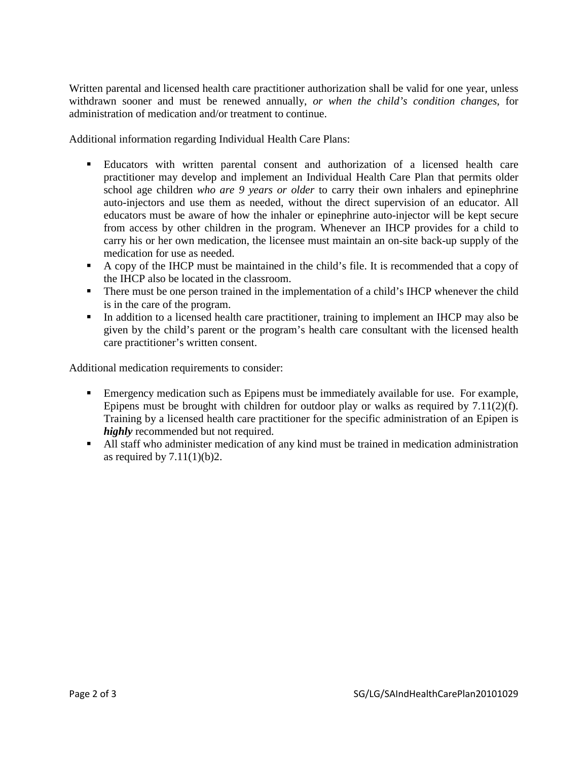Written parental and licensed health care practitioner authorization shall be valid for one year, unless withdrawn sooner and must be renewed annually, *or when the child's condition changes*, for administration of medication and/or treatment to continue.

Additional information regarding Individual Health Care Plans:

- Educators with written parental consent and authorization of a licensed health care practitioner may develop and implement an Individual Health Care Plan that permits older school age children *who are 9 years or older* to carry their own inhalers and epinephrine auto-injectors and use them as needed, without the direct supervision of an educator. All educators must be aware of how the inhaler or epinephrine auto-injector will be kept secure from access by other children in the program. Whenever an IHCP provides for a child to carry his or her own medication, the licensee must maintain an on-site back-up supply of the medication for use as needed.
- A copy of the IHCP must be maintained in the child's file. It is recommended that a copy of the IHCP also be located in the classroom.
- There must be one person trained in the implementation of a child's IHCP whenever the child is in the care of the program.
- In addition to a licensed health care practitioner, training to implement an IHCP may also be given by the child's parent or the program's health care consultant with the licensed health care practitioner's written consent.

Additional medication requirements to consider:

- Emergency medication such as Epipens must be immediately available for use. For example, Epipens must be brought with children for outdoor play or walks as required by 7.11(2)(f). Training by a licensed health care practitioner for the specific administration of an Epipen is *highly* recommended but not required.
- All staff who administer medication of any kind must be trained in medication administration as required by  $7.11(1)(b)2$ .